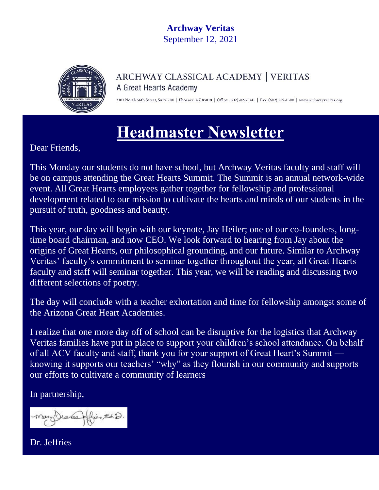## **Archway Veritas** September 12, 2021



### ARCHWAY CLASSICAL ACADEMY | VERITAS A Great Hearts Academy

3102 North 56th Street, Suite 200 | Phoenix, AZ 85018 | Office: (602) 489-7341 | Fax: (602) 759-1300 | www.archwayveritas.org

# **Headmaster Newsletter**

Dear Friends,

This Monday our students do not have school, but Archway Veritas faculty and staff will be on campus attending the Great Hearts Summit. The Summit is an annual network-wide event. All Great Hearts employees gather together for fellowship and professional development related to our mission to cultivate the hearts and minds of our students in the pursuit of truth, goodness and beauty.

This year, our day will begin with our keynote, Jay Heiler; one of our co-founders, longtime board chairman, and now CEO. We look forward to hearing from Jay about the origins of Great Hearts, our philosophical grounding, and our future. Similar to Archway Veritas' faculty's commitment to seminar together throughout the year, all Great Hearts faculty and staff will seminar together. This year, we will be reading and discussing two different selections of poetry.

The day will conclude with a teacher exhortation and time for fellowship amongst some of the Arizona Great Heart Academies.

I realize that one more day off of school can be disruptive for the logistics that Archway Veritas families have put in place to support your children's school attendance. On behalf of all ACV faculty and staff, thank you for your support of Great Heart's Summit knowing it supports our teachers' "why" as they flourish in our community and supports our efforts to cultivate a community of learners

In partnership,

 $H\left(\bigcup_{i=1}^n \mathbb{Z}^d\right) \ni \mathbb{Z}^d$ Mary Dances

Dr. Jeffries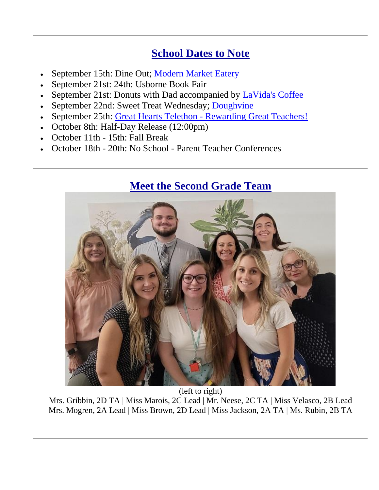# **School Dates to Note**

- September 15th: Dine Out; [Modern Market Eatery](http://track.spe.schoolmessenger.com/f/a/9I0rO4GsgM9VnbloiLutRw~~/AAAAAQA~/RgRjH1enP0QZaHR0cHM6Ly9tb2Rlcm5tYXJrZXQuY29tL1cHc2Nob29sbUIKYTgnJD5h44vILFIaYWhvc2Fja0BhcmNod2F5dmVyaXRhcy5vcmdYBAAAAAE~)
- September 21st: 24th: Usborne Book Fair
- September 21st: Donuts with Dad accompanied by [LaVida's Coffee](http://track.spe.schoolmessenger.com/f/a/tlr-WST8gA-CUwoTJ34pPw~~/AAAAAQA~/RgRjH1enP0QXaHR0cHM6Ly9sYXZpZGFvYXRzLmNvbS9XB3NjaG9vbG1CCmE4JyQ-YeOLyCxSGmFob3NhY2tAYXJjaHdheXZlcml0YXMub3JnWAQAAAAB)
- September 22nd: Sweet Treat Wednesday; [Doughvine](http://track.spe.schoolmessenger.com/f/a/WULPTp67AEO0zC9YmMkxoQ~~/AAAAAQA~/RgRjH1enP0QkaHR0cHM6Ly93d3cuZG91Z2hsaWNpb3VzZGVzc2VydC5jb20vVwdzY2hvb2xtQgphOCckPmHji8gsUhphaG9zYWNrQGFyY2h3YXl2ZXJpdGFzLm9yZ1gEAAAAAQ~~)
- September 25th: Great Hearts Telethon [Rewarding Great Teachers!](http://track.spe.schoolmessenger.com/f/a/hQ_9nCmNPzcdO1FSVuv0mQ~~/AAAAAQA~/RgRjH1enP0QoaHR0cHM6Ly90ZWxldGhvbi5ncmVhdGhlYXJ0c2FtZXJpY2Eub3JnL1cHc2Nob29sbUIKYTgnJD5h44vILFIaYWhvc2Fja0BhcmNod2F5dmVyaXRhcy5vcmdYBAAAAAE~)
- October 8th: Half-Day Release (12:00pm)
- October 11th 15th: Fall Break
- October 18th 20th: No School Parent Teacher Conferences

## **Meet the Second Grade Team**



(left to right) Mrs. Gribbin, 2D TA | Miss Marois, 2C Lead | Mr. Neese, 2C TA | Miss Velasco, 2B Lead Mrs. Mogren, 2A Lead | Miss Brown, 2D Lead | Miss Jackson, 2A TA | Ms. Rubin, 2B TA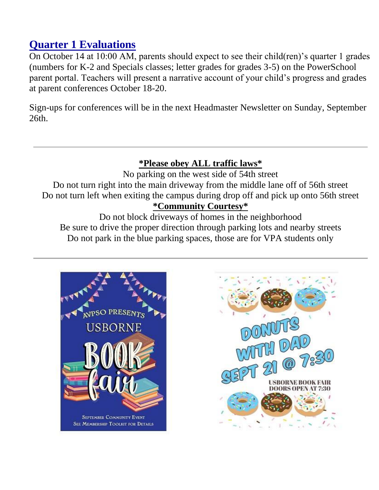# **Quarter 1 Evaluations**

On October 14 at 10:00 AM, parents should expect to see their child(ren)'s quarter 1 grades (numbers for K-2 and Specials classes; letter grades for grades 3-5) on the PowerSchool parent portal. Teachers will present a narrative account of your child's progress and grades at parent conferences October 18-20.

Sign-ups for conferences will be in the next Headmaster Newsletter on Sunday, September 26th.

#### **\*Please obey ALL traffic laws\***

No parking on the west side of 54th street Do not turn right into the main driveway from the middle lane off of 56th street Do not turn left when exiting the campus during drop off and pick up onto 56th street **\*Community Courtesy\***

Do not block driveways of homes in the neighborhood Be sure to drive the proper direction through parking lots and nearby streets Do not park in the blue parking spaces, those are for VPA students only



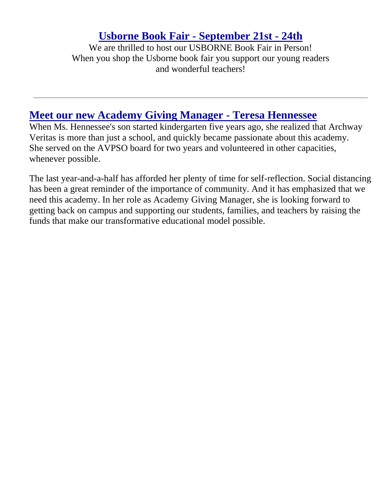## **Usborne Book Fair - September 21st - 24th**

We are thrilled to host our USBORNE Book Fair in Person! When you shop the Usborne book fair you support our young readers and wonderful teachers!

## **Meet our new Academy Giving Manager - Teresa Hennessee**

When Ms. Hennessee's son started kindergarten five years ago, she realized that Archway Veritas is more than just a school, and quickly became passionate about this academy. She served on the AVPSO board for two years and volunteered in other capacities, whenever possible.

The last year-and-a-half has afforded her plenty of time for self-reflection. Social distancing has been a great reminder of the importance of community. And it has emphasized that we need this academy. In her role as Academy Giving Manager, she is looking forward to getting back on campus and supporting our students, families, and teachers by raising the funds that make our transformative educational model possible.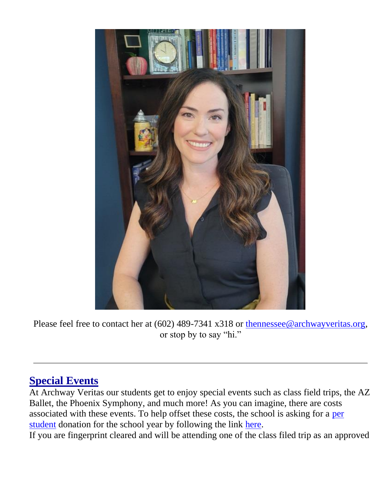

Please feel free to contact her at (602) 489-7341 x318 or [thennessee@archwayveritas.org,](mailto:thennessee@archwayveritas.org) or stop by to say "hi."

## **Special Events**

At Archway Veritas our students get to enjoy special events such as class field trips, the AZ Ballet, the Phoenix Symphony, and much more! As you can imagine, there are costs associated with these events. To help offset these costs, the school is asking for a [per](http://track.spe.schoolmessenger.com/f/a/QUs27bs9dYJ73AKrC0qYbg~~/AAAAAQA~/RgRjH1enP0TjaHR0cDovL3RyYWNrLnNwZS5zY2hvb2xtZXNzZW5nZXIuY29tL2YvYS9xQTMyOVhGWldRR05EcXUwb2VER2Nnfn4vQUFBQUFRQX4vUmdSZmNkNWRQMFF5YUhSMGNITTZMeTloY21Ob2QyRjVkbVZ5YVhSaGN5NWpiMjVtYVdkcGJ5NWpiMjB2YzJWaGNtTm9QMk5wWkQwek9EbFhCM05qYUc5dmJHMUNDZ0FBM2FxUVhlQk9fWUJTR21Gb2IzTmhZMnRBWVhKamFIZGhlWFpsY21sMFlYTXViM0puV0FRQUFBQUJXB3NjaG9vbG1CCmE4JyQ-YeOLyCxSGmFob3NhY2tAYXJjaHdheXZlcml0YXMub3JnWAQAAAAB)  [student](http://track.spe.schoolmessenger.com/f/a/QUs27bs9dYJ73AKrC0qYbg~~/AAAAAQA~/RgRjH1enP0TjaHR0cDovL3RyYWNrLnNwZS5zY2hvb2xtZXNzZW5nZXIuY29tL2YvYS9xQTMyOVhGWldRR05EcXUwb2VER2Nnfn4vQUFBQUFRQX4vUmdSZmNkNWRQMFF5YUhSMGNITTZMeTloY21Ob2QyRjVkbVZ5YVhSaGN5NWpiMjVtYVdkcGJ5NWpiMjB2YzJWaGNtTm9QMk5wWkQwek9EbFhCM05qYUc5dmJHMUNDZ0FBM2FxUVhlQk9fWUJTR21Gb2IzTmhZMnRBWVhKamFIZGhlWFpsY21sMFlYTXViM0puV0FRQUFBQUJXB3NjaG9vbG1CCmE4JyQ-YeOLyCxSGmFob3NhY2tAYXJjaHdheXZlcml0YXMub3JnWAQAAAAB) donation for the school year by following the link [here.](http://track.spe.schoolmessenger.com/f/a/QUs27bs9dYJ73AKrC0qYbg~~/AAAAAQA~/RgRjH1enP0TjaHR0cDovL3RyYWNrLnNwZS5zY2hvb2xtZXNzZW5nZXIuY29tL2YvYS9xQTMyOVhGWldRR05EcXUwb2VER2Nnfn4vQUFBQUFRQX4vUmdSZmNkNWRQMFF5YUhSMGNITTZMeTloY21Ob2QyRjVkbVZ5YVhSaGN5NWpiMjVtYVdkcGJ5NWpiMjB2YzJWaGNtTm9QMk5wWkQwek9EbFhCM05qYUc5dmJHMUNDZ0FBM2FxUVhlQk9fWUJTR21Gb2IzTmhZMnRBWVhKamFIZGhlWFpsY21sMFlYTXViM0puV0FRQUFBQUJXB3NjaG9vbG1CCmE4JyQ-YeOLyCxSGmFob3NhY2tAYXJjaHdheXZlcml0YXMub3JnWAQAAAAB)

If you are fingerprint cleared and will be attending one of the class filed trip as an approved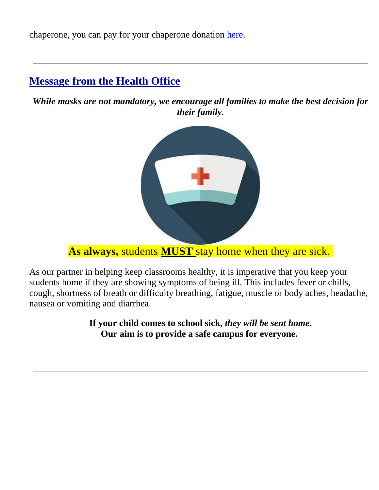chaperone, you can pay for your chaperone donation [here.](http://track.spe.schoolmessenger.com/f/a/QUs27bs9dYJ73AKrC0qYbg~~/AAAAAQA~/RgRjH1enP0TjaHR0cDovL3RyYWNrLnNwZS5zY2hvb2xtZXNzZW5nZXIuY29tL2YvYS9xQTMyOVhGWldRR05EcXUwb2VER2Nnfn4vQUFBQUFRQX4vUmdSZmNkNWRQMFF5YUhSMGNITTZMeTloY21Ob2QyRjVkbVZ5YVhSaGN5NWpiMjVtYVdkcGJ5NWpiMjB2YzJWaGNtTm9QMk5wWkQwek9EbFhCM05qYUc5dmJHMUNDZ0FBM2FxUVhlQk9fWUJTR21Gb2IzTmhZMnRBWVhKamFIZGhlWFpsY21sMFlYTXViM0puV0FRQUFBQUJXB3NjaG9vbG1CCmE4JyQ-YeOLyCxSGmFob3NhY2tAYXJjaHdheXZlcml0YXMub3JnWAQAAAAB)

## **Message from the Health Office**

*While masks are not mandatory, we encourage all families to make the best decision for their family.*



**As always,** students **MUST** stay home when they are sick.

As our partner in helping keep classrooms healthy, it is imperative that you keep your students home if they are showing symptoms of being ill. This includes fever or chills, cough, shortness of breath or difficulty breathing, fatigue, muscle or body aches, headache, nausea or vomiting and diarrhea.

> **If your child comes to school sick,** *they will be sent home***. Our aim is to provide a safe campus for everyone.**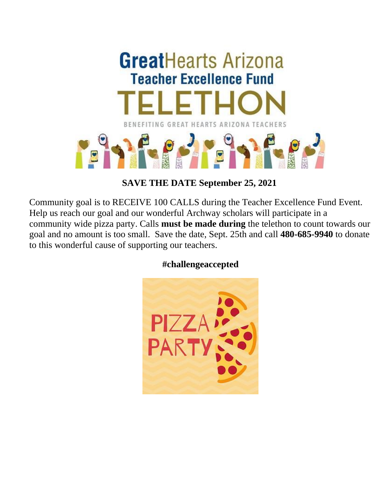

**SAVE THE DATE September 25, 2021**

Community goal is to RECEIVE 100 CALLS during the Teacher Excellence Fund Event. Help us reach our goal and our wonderful Archway scholars will participate in a community wide pizza party. Calls **must be made during** the telethon to count towards our goal and no amount is too small. Save the date, Sept. 25th and call **480-685-9940** to donate to this wonderful cause of supporting our teachers.

#### **#challengeaccepted**